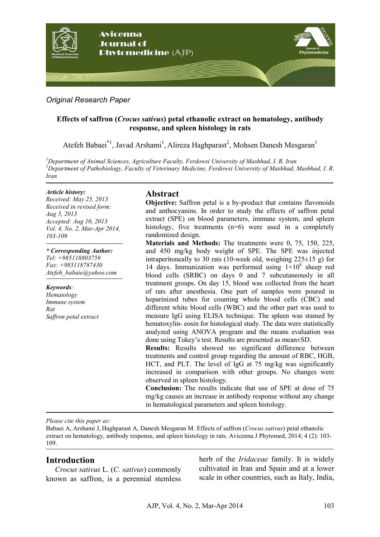

## *Original Research Paper*

## **Effects of saffron (***Crocus sativus***) petal ethanolic extract on hematology, antibody response, and spleen histology in rats**

Atefeh Babaei<sup>\*1</sup>, Javad Arshami<sup>1</sup>, Alireza Haghparast<sup>2</sup>, Mohsen Danesh Mesgaran<sup>1</sup>

*<sup>1</sup>Department of Animal Sciences, Agriculture Faculty, Ferdowsi University of Mashhad, I. R. Iran <sup>2</sup>Department of Pathobiology, Faculty of Veterinary Medicine, Ferdowsi University of Mashhad, Mashhad, I. R. Iran*

#### *Article history:*

*Received: May 25, 2013 Received in revised form: Aug 5, 2013 Accepted: Aug 10, 2013 Vol. 4, No. 2, Mar-Apr 2014, 103-109*

*\* Corresponding Author: Tel: +985118803759 Fax: +985118787430 Atefeh\_babaie@yahoo.com* 

*Keywords: Hematology Immune system Rat Saffron petal extract* 

#### **Abstract**

**Objective:** Saffron petal is a by-product that contains flavonoids and anthocyanins. In order to study the effects of saffron petal extract (SPE) on blood parameters, immune system, and spleen histology, five treatments (n=6) were used in a completely randomized design.

**Materials and Methods:** The treatments were 0, 75, 150, 225, and 450 mg/kg body weight of SPE. The SPE was injected intraperitoneally to 30 rats (10-week old, weighing  $225\pm 15$  g) for 14 days. Immunization was performed using  $1 \times 10^8$  sheep red blood cells (SRBC) on days 0 and 7 subcutaneously in all treatment groups. On day 15, blood was collected from the heart of rats after anesthesia. One part of samples were poured in heparinized tubes for counting whole blood cells (CBC) and different white blood cells (WBC) and the other part was used to measure IgG using ELISA technique. The spleen was stained by hematoxylin- eosin for histological study. The data were statistically analyzed using ANOVA program and the means evaluation was done using Tukey's test. Results are presented as mean±SD.

**Results:** Results showed no significant difference between treatments and control group regarding the amount of RBC, HGB, HCT, and PLT. The level of IgG at 75 mg/kg was significantly increased in comparison with other groups. No changes were observed in spleen histology.

**Conclusion:** The results indicate that use of SPE at dose of 75 mg/kg causes an increase in antibody response without any change in hematological parameters and spleen histology.

*Please cite this paper as:* 

Babaei A, Arshami J, Haghparast A, Danesh Mesgaran M. Effects of saffron (*Crocus sativus*) petal ethanolic extract on hematology, antibody response, and spleen histology in rats. Avicenna J Phytomed, 2014; 4 (2): 103- 109.

# **Introduction**

*Crocus sativus* L. (*C. sativus*) commonly known as saffron, is a perennial stemless herb of the *Iridaceae* family. It is widely cultivated in Iran and Spain and at a lower scale in other countries, such as Italy, India,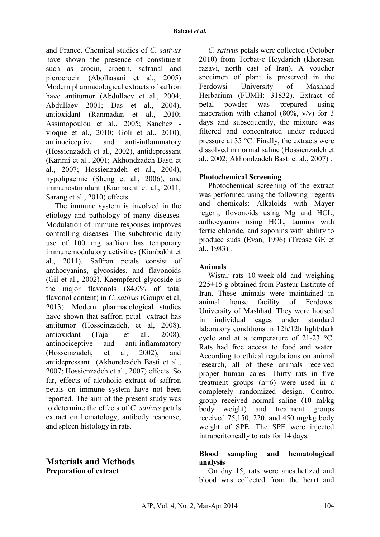and France. Chemical studies of *C. sativus* have shown the presence of constituent such as crocin, croetin, safranal and picrocrocin (Abolhasani et al., 2005) Modern pharmacological extracts of saffron have antitumor (Abdullaev et al., 2004; Abdullaev 2001; Das et al., 2004), antioxidant (Ranmadan et al., 2010; Assimopoulou et al., 2005; Sanchez vioque et al., 2010; Goli et al., 2010), antinociceptive and anti-inflammatory (Hossienzadeh et al., 2002), antidepressant (Karimi et al., 2001; Akhondzadeh Basti et al., 2007; Hossienzadeh et al., 2004), hypolipaemic (Sheng et al., 2006), and immunostimulant (Kianbakht et al., 2011; Sarang et al., 2010) effects.

The immune system is involved in the etiology and pathology of many diseases. Modulation of immune responses improves controlling diseases. The subchronic daily use of 100 mg saffron has temporary immunemodulatory activities (Kianbakht et al., 2011). Saffron petals consist of anthocyanins, glycosides, and flavonoids (Gil et al., 2002). Kaempferol glycoside is the major flavonols (84.0% of total flavonol content) in *C. sativus* (Goupy et al, 2013). Modern pharmacological studies have shown that saffron petal extract has antitumor (Hosseinzadeh, et al, 2008), antioxidant (Tajali et al., 2008), antinociceptive and anti-inflammatory (Hosseinzadeh, et al, 2002), and antidepressant (Akhondzadeh Basti et al., 2007; Hossienzadeh et al., 2007) effects. So far, effects of alcoholic extract of saffron petals on immune system have not been reported. The aim of the present study was to determine the effects of *C. sativus* petals extract on hematology, antibody response, and spleen histology in rats.

## **Materials and Methods Preparation of extract**

*C. sativus* petals were collected (October 2010) from Torbat-e Heydarieh (khorasan razavi, north east of Iran). A voucher specimen of plant is preserved in the Ferdowsi University of Mashhad Herbarium (FUMH: 31832). Extract of petal powder was prepared using maceration with ethanol  $(80\%, v/v)$  for 3 days and subsequently, the mixture was filtered and concentrated under reduced pressure at 35 °C. Finally, the extracts were dissolved in normal saline (Hossienzadeh et al., 2002; Akhondzadeh Basti et al., 2007) .

#### **Photochemical Screening**

Photochemical screening of the extract was performed using the following regents and chemicals: Alkaloids with Mayer regent, flovonoids using Mg and HCL, anthocyanins using HCL, tannins with ferric chloride, and saponins with ability to produce suds (Evan, 1996) (Trease GE et al., 1983)..

## **Animals**

Wistar rats 10-week-old and weighing 225±15 g obtained from Pasteur Institute of Iran. These animals were maintained in animal house facility of Ferdowsi University of Mashhad. They were housed in individual cages under standard laboratory conditions in 12h/12h light/dark cycle and at a temperature of 21-23 °C. Rats had free access to food and water. According to ethical regulations on animal research, all of these animals received proper human cares. Thirty rats in five treatment groups (n=6) were used in a completely randomized design. Control group received normal saline (10 ml/kg body weight) and treatment groups received 75,150, 220, and 450 mg/kg body weight of SPE. The SPE were injected intraperitoneally to rats for 14 days.

#### **Blood sampling and hematological analysis**

On day 15, rats were anesthetized and blood was collected from the heart and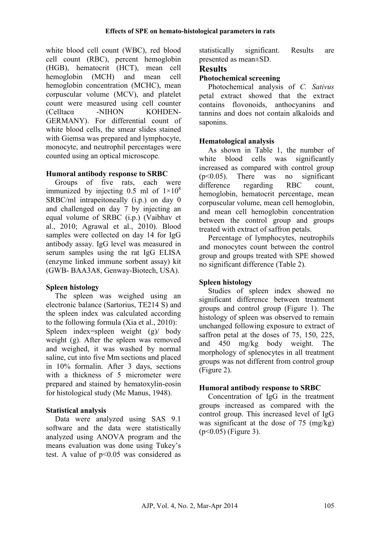white blood cell count (WBC), red blood cell count (RBC), percent hemoglobin (HGB), hematocrit (HCT), mean cell hemoglobin (MCH) and mean cell hemoglobin concentration (MCHC), mean corpuscular volume (MCV), and platelet count were measured using cell counter (Celltacα -NIHON KOHDEN-GERMANY). For differential count of white blood cells, the smear slides stained with Giemsa was prepared and lymphocyte, monocyte, and neutrophil percentages were counted using an optical microscope.

#### **Humoral antibody response to SRBC**

Groups of five rats, each were immunized by injecting 0.5 ml of  $1\times10^8$ SRBC/ml intrapeitoneally (i.p.) on day 0 and challenged on day 7 by injecting an equal volume of SRBC (i.p.) (Vaibhav et al., 2010; Agrawal et al., 2010). Blood samples were collected on day 14 for IgG antibody assay. IgG level was measured in serum samples using the rat IgG ELISA (enzyme linked immune sorbent assay) kit (GWB- BAA3A8, Genway-Biotech, USA).

#### **Spleen histology**

The spleen was weighed using an electronic balance (Sartorius, TE214 S) and the spleen index was calculated according to the following formula (Xia et al., 2010): Spleen index=spleen weight (g)/ body weight (g). After the spleen was removed and weighed, it was washed by normal saline, cut into five Mm sections and placed in 10% formalin. After 3 days, sections with a thickness of 5 micrometer were prepared and stained by hematoxylin-eosin for histological study (Mc Manus, 1948).

#### **Statistical analysis**

Data were analyzed using SAS 9.1 software and the data were statistically analyzed using ANOVA program and the means evaluation was done using Tukey's test. A value of p<0.05 was considered as statistically significant. Results are presented as mean±SD.

## **Results**

## **Photochemical screening**

Photochemical analysis of *C. Sativus* petal extract showed that the extract contains flovonoids, anthocyanins and tannins and does not contain alkaloids and saponins.

#### **Hematological analysis**

As shown in Table 1, the number of white blood cells was significantly increased as compared with control group (p<0.05). There was no significant difference regarding RBC count, hemoglobin, hematocrit percentage, mean corpuscular volume, mean cell hemoglobin, and mean cell hemoglobin concentration between the control group and groups treated with extract of saffron petals.

Percentage of lymphocytes, neutrophils and monocytes count between the control group and groups treated with SPE showed no significant difference (Table 2).

#### **Spleen histology**

Studies of spleen index showed no significant difference between treatment groups and control group (Figure 1). The histology of spleen was observed to remain unchanged following exposure to extract of saffron petal at the doses of 75, 150, 225, and 450 mg/kg body weight. The morphology of splenocytes in all treatment groups was not different from control group (Figure 2).

#### **Humoral antibody response to SRBC**

Concentration of IgG in the treatment groups increased as compared with the control group. This increased level of IgG was significant at the dose of 75 (mg/kg) (p<0.05) (Figure 3).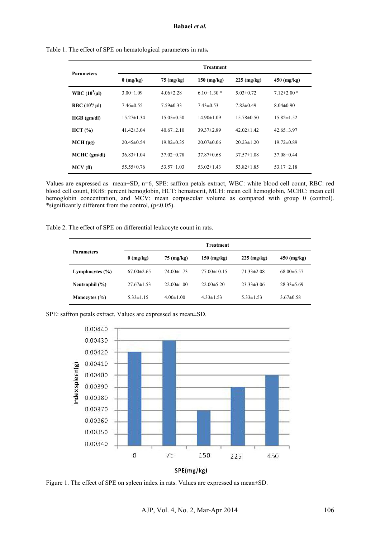| <b>Parameters</b>  | <b>Treatment</b> |                      |                 |                  |                  |  |
|--------------------|------------------|----------------------|-----------------|------------------|------------------|--|
|                    | $0$ (mg/kg)      | $75 \text{ (mg/kg)}$ | $150$ (mg/kg)   | $225$ (mg/kg)    | $450$ (mg/kg)    |  |
| WBC $(10^3/\mu l)$ | $3.00 \pm 1.09$  | $4.06\pm2.28$        | $6.10\pm1.30*$  | $5.03 \pm 0.72$  | $7.12 \pm 2.00*$ |  |
| RBC $(10^6/\mu I)$ | $7.46\pm0.55$    | $7.59 \pm 0.33$      | $7.43\pm0.53$   | $7.82\pm0.49$    | $8.04\pm0.90$    |  |
| HGB (gm/dl)        | $15.27 \pm 1.34$ | $15.05 \pm 0.50$     | $14.90\pm1.09$  | $15.78 \pm 0.50$ | $15.82 \pm 1.52$ |  |
| HCT (%)            | 41.42 $\pm$ 3.04 | $40.67 \pm 2.10$     | 39.37±2.89      | $42.02 \pm 1.42$ | $42.65 \pm 3.97$ |  |
| $MCH$ (pg)         | $20.45 \pm 0.54$ | $19.82\pm0.35$       | $20.07\pm 0.06$ | $20.23 \pm 1.20$ | $19.72 \pm 0.89$ |  |
| $MCHC$ (gm/dl)     | $36.83 \pm 1.04$ | $37.02\pm 0.78$      | $37.87\pm0.68$  | $37.57\pm1.08$   | $37.08\pm0.44$   |  |
| MCV(f)             | $55.55 \pm 0.76$ | $53.57 \pm 1.03$     | $53.02\pm1.43$  | $53.82 \pm 1.85$ | 53.17 $\pm$ 2.18 |  |

Table 1. The effect of SPE on hematological parameters in rats**.** 

Values are expressed as mean±SD, n=6, SPE: saffron petals extract, WBC: white blood cell count, RBC: red blood cell count, HGB: percent hemoglobin, HCT: hematocrit, MCH: mean cell hemoglobin, MCHC: mean cell hemoglobin concentration, and MCV: mean corpuscular volume as compared with group 0 (control). \*significantly different from the control, (p<0.05).

Table 2. The effect of SPE on differential leukocyte count in rats.

| <b>Parameters</b>   | <b>Treatment</b> |                      |                   |                  |                  |  |
|---------------------|------------------|----------------------|-------------------|------------------|------------------|--|
|                     | $0$ (mg/kg)      | $75 \text{ (mg/kg)}$ | $150$ (mg/kg)     | $225$ (mg/kg)    | $450$ (mg/kg)    |  |
| Lymphocytes $(\% )$ | $67.00 \pm 2.65$ | $74.00 \pm 1.73$     | $77.00 \pm 10.15$ | $71.33 \pm 2.08$ | $68.00 \pm 5.57$ |  |
| Neutrophil (%)      | $27.67\pm1.53$   | $22.00 \pm 1.00$     | $22.00 \pm 5.20$  | $23.33\pm3.06$   | $28.33\pm5.69$   |  |
| Monocytes (%)       | $5.33 \pm 1.15$  | $4.00 \pm 1.00$      | $4.33 \pm 1.53$   | $5.33 \pm 1.53$  | $3.67\pm0.58$    |  |

SPE: saffron petals extract. Values are expressed as mean±SD.



Figure 1. The effect of SPE on spleen index in rats. Values are expressed as mean±SD.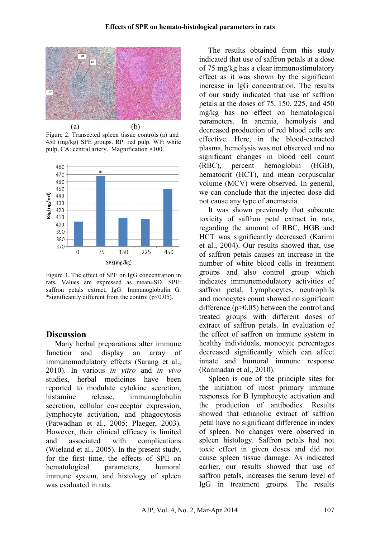

Figure 2. Transected spleen tissue controls (a) and 450 (mg/kg) SPE groups. RP: red pulp, WP: white pulp, CA: central artery. Magnification ×100.



Figure 3. The effect of SPE on IgG concentration in rats**.** Values are expressed as mean±SD. SPE: saffron petals extract, IgG: Immunoglobulin G. \*significantly different from the control  $(p<0.05)$ .

# **Discussion**

Many herbal preparations alter immune function and display an array of immunomodulatory effects (Sarang et al., 2010). In various *in vitro* and *in vivo* studies, herbal medicines have been reported to modulate cytokine secretion, histamine release, immunoglobulin secretion, cellular co-receptor expression, lymphocyte activation, and phagocytosis (Patwadhan et al., 2005; Plaeger, 2003). However, their clinical efficacy is limited and associated with complications (Wieland et al., 2005). In the present study, for the first time, the effects of SPE on hematological parameters, humoral immune system, and histology of spleen was evaluated in rats.

The results obtained from this study indicated that use of saffron petals at a dose of 75 mg/kg has a clear immunostimulatory effect as it was shown by the significant increase in IgG concentration. The results of our study indicated that use of saffron petals at the doses of 75, 150, 225, and 450 mg/kg has no effect on hematological parameters. In anemia, hemolysis and decreased production of red blood cells are effective. Here, in the blood-extracted plasma, hemolysis was not observed and no significant changes in blood cell count (RBC), percent hemoglobin (HGB), hematocrit (HCT), and mean corpuscular volume (MCV) were observed. In general, we can conclude that the injected dose did not cause any type of anemsreia.

It was shown previously that subacute toxicity of saffron petal extract in rats, regarding the amount of RBC, HGB and HCT was significantly decreased (Karimi et al., 2004). Our results showed that, use of saffron petals causes an increase in the number of white blood cells in treatment groups and also control group which indicates immunemodulatory activities of saffron petal. Lymphocytes, neutrophils and monocytes count showed no significant difference (p>0.05) between the control and treated groups with different doses of extract of saffron petals. In evaluation of the effect of saffron on immune system in healthy individuals, monocyte percentages decreased significantly which can affect innate and humoral immune response (Ranmadan et al., 2010).

Spleen is one of the principle sites for the initiation of most primary immune responses for B lymphocyte activation and the production of antibodies. Results showed that ethanolic extract of saffron petal have no significant difference in index of spleen. No changes were observed in spleen histology. Saffron petals had not toxic effect in given doses and did not cause spleen tissue damage. As indicated earlier, our results showed that use of saffron petals, increases the serum level of IgG in treatment groups. The results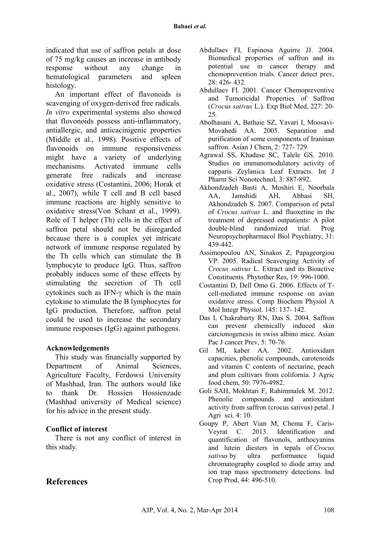indicated that use of saffron petals at dose of 75 mg/kg causes an increase in antibody response without any change in hematological parameters and spleen histology.

An important effect of flavonoids is scavenging of oxygen-derived free radicals. *In vitro* experimental systems also showed that flovonoids possess anti-inflammatory, antiallergic, and anticacinigenic properties (Middle et al., 1998). Positive effects of flavonoids on immune responsiveness might have a variety of underlying mechanisms. Activated immune cells generate free radicals and increase oxidative stress (Costantini, 2006; Horak et al., 2007), while T cell and B cell based immune reactions are highly sensitive to oxidative stress(Von Schant et al., 1999). Role of T helper (Th) cells in the effect of saffron petal should not be disregarded because there is a complex yet intricate network of immune response regulated by the Th cells which can stimulate the B lymphocyte to produce IgG. Thus, saffron probably induces some of these effects by stimulating the secretion of Th cell cytokines such as IFN-γ which is the main cytokine to stimulate the B lymphocytes for IgG production. Therefore, saffron petal could be used to increase the secondary immune responses (IgG) against pathogens.

#### **Acknowledgements**

This study was financially supported by Department of Animal Sciences, Agriculture Faculty, Ferdowsi University of Mashhad, Iran. The authors would like to thank Dr. Hossien Hossienzade (Mashhad university of Medical science) for his advice in the present study.

#### **Conflict of interest**

There is not any conflict of interest in this study.

- Abdullaev FI, Espinosa Aguirre JJ. 2004. Biomedical properties of saffron and its potential use in cancer therapy and chemoprevention trials. Cancer detect prev, 28: 426- 432.
- Abdullaev FI. 2001*.* Cancer Chemopreventive and Tumoricidal Properties of Saffron (*Crocus sativus* L.). Exp Biol Med, 227: 20- 25.
- Abolhasani A, Bathaie SZ, Yavari I, Moosavi-Movahedi AA. 2005. Separation and purification of some components of Iraninan saffron. Asian J Chem, 2: 727- 729.
- Agrawal SS, Khadase SC, Talele GS. 2010. Studies on immunomodulatory activity of capparis Zeylanica Leaf Extracts. Int J Pharm Sci Nonotechnol, 3: 887-892.
- Akhondzadeh Basti A, Moshiri E, Noorbala AA, Jamshidi AH, Abbasi SH, Akhondzadeh S. 2007. Comparison of petal of *Crocus sativus* L. and fluoxetine in the treatment of depressed outpatients: A pilot double-blind randomized trial. Prog Neuropsychopharmacol Biol Psychiatry, 31: 439-442.
- Assimopoulou AN, Sinakos Z, Papageorgiou VP. 2005. Radical Scavenging Activity of *Crocus sativus* L. Extract and its Bioactive Constituents. Phytother Res, 19: 996-1000.
- Costantini D, Dell Omo G. 2006. Effects of Tcell-mediated immune response on avian oxidative stress. Comp Biochem Physiol A Mol Integr Physiol. 145: 137- 142.
- Das I, Chakrabarty RN, Das S. 2004*.* Saffron can prevent chemically induced skin carcionogenesis in swiss albino mice. Asian Pac J cancer Prev, 5: 70-76.
- Gil MI, kaber AA. 2002. Antioxidant capacities, phenolic compounds, carotenoids and vitamin C contents of nectarine, peach and plum cultivars from colifornia. J Agric food chem, 50: 7976-4982.
- Goli SAH, Mokhtari F, Rahimmalek M. 2012. Phenolic compounds and antioxidant activity from saffron (crocus sativus) petal. J Agri sci*,* 4: 10.
- Goupy P, Abert Vian M, Chema F, Caris-Veyrat C. 2013. Identification and quantification of flavonols, anthocyanins and lutein diesters in tepals of *Crocus sativus* by ultra performance liquid chromatography coupled to diode array and ion trap mass spectrometry detections. Ind Crop Prod, 44: 496-510.

# **References**